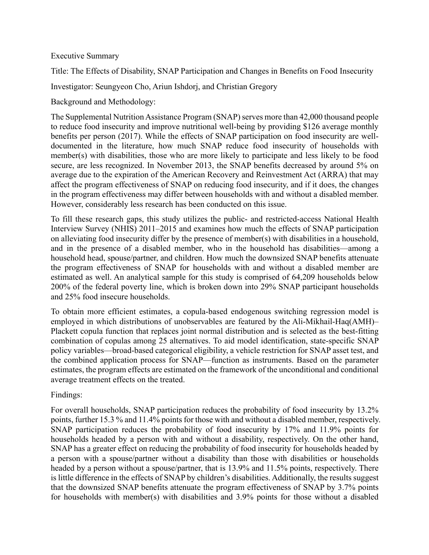## Executive Summary

Title: The Effects of Disability, SNAP Participation and Changes in Benefits on Food Insecurity

Investigator: Seungyeon Cho, Ariun Ishdorj, and Christian Gregory

Background and Methodology:

The Supplemental Nutrition Assistance Program (SNAP) serves more than 42,000 thousand people to reduce food insecurity and improve nutritional well-being by providing \$126 average monthly benefits per person (2017). While the effects of SNAP participation on food insecurity are welldocumented in the literature, how much SNAP reduce food insecurity of households with member(s) with disabilities, those who are more likely to participate and less likely to be food secure, are less recognized. In November 2013, the SNAP benefits decreased by around 5% on average due to the expiration of the American Recovery and Reinvestment Act (ARRA) that may affect the program effectiveness of SNAP on reducing food insecurity, and if it does, the changes in the program effectiveness may differ between households with and without a disabled member. However, considerably less research has been conducted on this issue.

To fill these research gaps, this study utilizes the public- and restricted-access National Health Interview Survey (NHIS) 2011–2015 and examines how much the effects of SNAP participation on alleviating food insecurity differ by the presence of member(s) with disabilities in a household, and in the presence of a disabled member, who in the household has disabilities––among a household head, spouse/partner, and children. How much the downsized SNAP benefits attenuate the program effectiveness of SNAP for households with and without a disabled member are estimated as well. An analytical sample for this study is comprised of 64,209 households below 200% of the federal poverty line, which is broken down into 29% SNAP participant households and 25% food insecure households.

To obtain more efficient estimates, a copula-based endogenous switching regression model is employed in which distributions of unobservables are featured by the Ali-Mikhail-Haq(AMH)– Plackett copula function that replaces joint normal distribution and is selected as the best-fitting combination of copulas among 25 alternatives. To aid model identification, state-specific SNAP policy variables––broad-based categorical eligibility, a vehicle restriction for SNAP asset test, and the combined application process for SNAP––function as instruments. Based on the parameter estimates, the program effects are estimated on the framework of the unconditional and conditional average treatment effects on the treated.

Findings:

For overall households, SNAP participation reduces the probability of food insecurity by 13.2% points, further 15.3 % and 11.4% points for those with and without a disabled member, respectively. SNAP participation reduces the probability of food insecurity by 17% and 11.9% points for households headed by a person with and without a disability, respectively. On the other hand, SNAP has a greater effect on reducing the probability of food insecurity for households headed by a person with a spouse/partner without a disability than those with disabilities or households headed by a person without a spouse/partner, that is 13.9% and 11.5% points, respectively. There is little difference in the effects of SNAP by children's disabilities. Additionally, the results suggest that the downsized SNAP benefits attenuate the program effectiveness of SNAP by 3.7% points for households with member(s) with disabilities and 3.9% points for those without a disabled